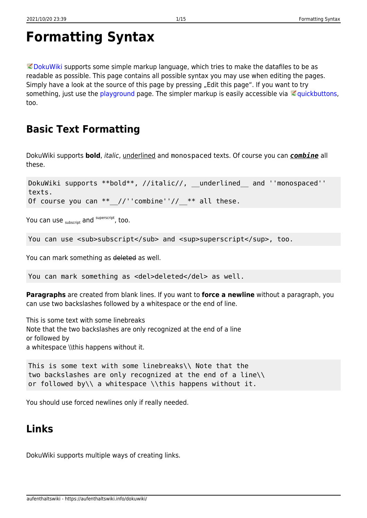# <span id="page-0-0"></span>**Formatting Syntax**

 $\heartsuit$  [DokuWiki](https://www.dokuwiki.org/DokuWiki) supports some simple markup language, which tries to make the datafiles to be as readable as possible. This page contains all possible syntax you may use when editing the pages. Simply have a look at the source of this page by pressing "Edit this page". If you want to try something, just use the [playground](https://aufenthaltswiki.info/dokuwiki/doku.php?id=playground:playground) page. The simpler markup is easily accessible via  $\leq$  [quickbuttons,](https://www.dokuwiki.org/toolbar) too.

## **Basic Text Formatting**

DokuWiki supports **bold**, italic, underlined and monospaced texts. Of course you can *combine* all these.

DokuWiki supports \*\*bold\*\*, //italic//, \_\_underlined and ''monospaced'' texts. Of course you can  $**$  //''combine''//  $**$  all these.

You can use  $_{\text{subscript}}$  and  $^{\text{superscript}}$ , too.

You can use <sub>subscript</sub> and <sup>superscript</sup>, too.

You can mark something as deleted as well.

You can mark something as <del>deleted</del> as well.

**Paragraphs** are created from blank lines. If you want to **force a newline** without a paragraph, you can use two backslashes followed by a whitespace or the end of line.

This is some text with some linebreaks Note that the two backslashes are only recognized at the end of a line or followed by a whitespace \\this happens without it.

```
This is some text with some linebreaks\\ Note that the
two backslashes are only recognized at the end of a line\\
or followed by\\ a whitespace \\this happens without it.
```
You should use forced newlines only if really needed.

### <span id="page-0-1"></span>**Links**

DokuWiki supports multiple ways of creating links.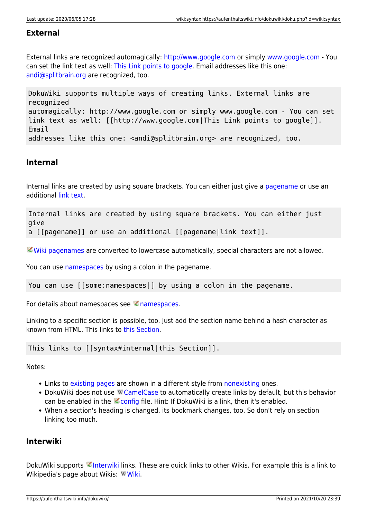### **External**

External links are recognized automagically:<http://www.google.com>or simply [www.google.com](http://www.google.com) - You can set the link text as well: [This Link points to google](http://www.google.com). Email addresses like this one: [andi@splitbrain.org](mailto:andi@splitbrain.org) are recognized, too.

DokuWiki supports multiple ways of creating links. External links are recognized automagically: http://www.google.com or simply www.google.com - You can set link text as well: [[http://www.google.com|This Link points to google]]. Email addresses like this one: <andi@splitbrain.org> are recognized, too.

### <span id="page-1-0"></span>**Internal**

Internal links are created by using square brackets. You can either just give a [pagename](https://aufenthaltswiki.info/dokuwiki/doku.php?id=wiki:pagename) or use an additional [link text](https://aufenthaltswiki.info/dokuwiki/doku.php?id=wiki:pagename).

Internal links are created by using square brackets. You can either just give a [[pagename]] or use an additional [[pagename|link text]].

[Wiki pagenames](https://www.dokuwiki.org/pagename) are converted to lowercase automatically, special characters are not allowed.

You can use [namespaces](https://aufenthaltswiki.info/dokuwiki/doku.php?id=some:namespaces) by using a colon in the pagename.

You can use [[some:namespaces]] by using a colon in the pagename.

For details about [namespaces](https://www.dokuwiki.org/namespaces) see  $\leq$  namespaces.

Linking to a specific section is possible, too. Just add the section name behind a hash character as known from HTML. This links to [this Section.](#page-1-0)

This links to [[syntax#internal|this Section]].

Notes:

- Links to [existing pages](#page-0-0) are shown in a different style from [nonexisting](https://aufenthaltswiki.info/dokuwiki/doku.php?id=wiki:nonexisting) ones.
- DokuWiki does not use W [CamelCase](https://en.wikipedia.org/wiki/CamelCase) to automatically create links by default, but this behavior can be enabled in the  $\leq$  [config](https://www.dokuwiki.org/config) file. Hint: If DokuWiki is a link, then it's enabled.
- When a section's heading is changed, its bookmark changes, too. So don't rely on section linking too much.

### **Interwiki**

DokuWiki supports [Interwiki](https://www.dokuwiki.org/Interwiki) links. These are quick links to other Wikis. For example this is a link to Wikipedia's page about [Wiki](https://en.wikipedia.org/wiki/Wiki)s: WWiki.

https://aufenthaltswiki.info/dokuwiki/ Printed on 2021/10/20 23:39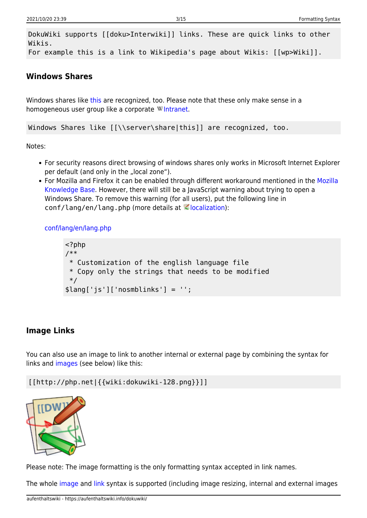DokuWiki supports [[doku>Interwiki]] links. These are quick links to other Wikis. For example this is a link to Wikipedia's page about Wikis: [[wp>Wiki]].

### **Windows Shares**

Windows shares like [this](#page--1-0) are recognized, too. Please note that these only make sense in a homogeneous user group like a corporate W[Intranet](https://en.wikipedia.org/wiki/Intranet).

Windows Shares like [[\\server\share|this]] are recognized, too.

Notes:

- For security reasons direct browsing of windows shares only works in Microsoft Internet Explorer per default (and only in the "local zone").
- For Mozilla and Firefox it can be enabled through different workaround mentioned in the [Mozilla](http://kb.mozillazine.org/Links_to_local_pages_do_not_work) [Knowledge Base](http://kb.mozillazine.org/Links_to_local_pages_do_not_work). However, there will still be a JavaScript warning about trying to open a Windows Share. To remove this warning (for all users), put the following line in  $conf/l$ ang/en/lang.php (more details at  $\leq$  [localization\)](https://www.dokuwiki.org/localization#changing_some_localized_texts_and_strings_in_your_installation):

[conf/lang/en/lang.php](https://aufenthaltswiki.info/dokuwiki/doku.php?do=export_code&id=wiki:syntax&codeblock=0)

```
<?php
/**
  * Customization of the english language file
  * Copy only the strings that needs to be modified
 */
$lang['js']['nosmblinks'] = '';
```
### <span id="page-2-0"></span>**Image Links**

You can also use an image to link to another internal or external page by combining the syntax for links and [images](#page--1-0) (see below) like this:

[[http://php.net|{{wiki:dokuwiki-128.png}}]]



Please note: The image formatting is the only formatting syntax accepted in link names.

The whole [image](#page--1-0) and [link](#page-0-1) syntax is supported (including image resizing, internal and external images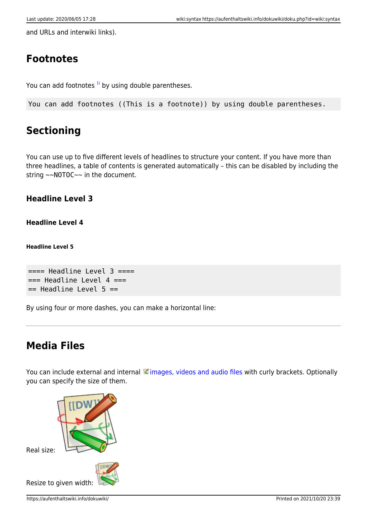and URLs and interwiki links).

## **Footnotes**

You can add footnotes  $1$ <sup>1</sup> by using double parentheses.

You can add footnotes ((This is a footnote)) by using double parentheses.

## **Sectioning**

You can use up to five different levels of headlines to structure your content. If you have more than three headlines, a table of contents is generated automatically – this can be disabled by including the string ~~NOTOC~~ in the document.

### **Headline Level 3**

### **Headline Level 4**

**Headline Level 5**

```
== Headline Level 3 ==== Headline Level 4 ==== Headline Level 5 ==
```
By using four or more dashes, you can make a horizontal line:

## **Media Files**

You can include external and internal [images, videos and audio files](https://www.dokuwiki.org/images) with curly brackets. Optionally you can specify the size of them.

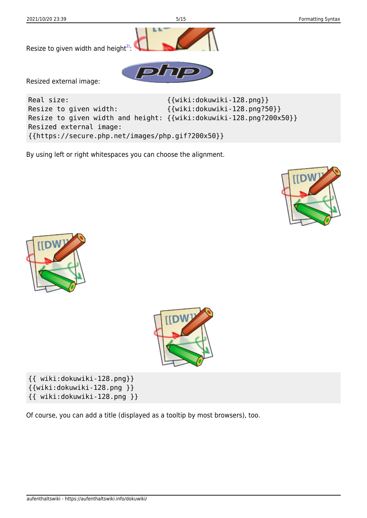

By using left or right whitespaces you can choose the alignment.







{{ wiki:dokuwiki-128.png}} {{wiki:dokuwiki-128.png }} {{ wiki:dokuwiki-128.png }}

Of course, you can add a title (displayed as a tooltip by most browsers), too.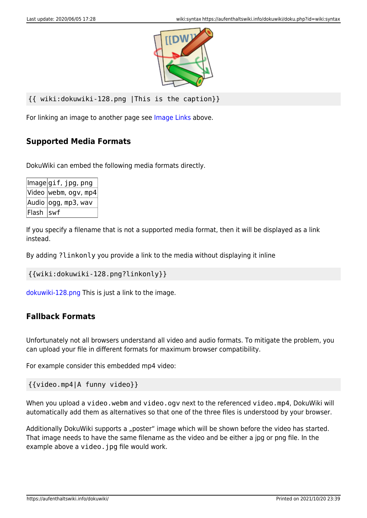

```
{{ wiki:dokuwiki-128.png |This is the caption}}
```
For linking an image to another page see [Image Links](#page-2-0) above.

### **Supported Media Formats**

DokuWiki can embed the following media formats directly.

|            | $ \textsf{Image} $ gif, jpg, png |
|------------|----------------------------------|
|            | $ $ Video $ $ webm, ogv, mp4 $ $ |
|            | Audio  ogg, mp3, wav             |
| Flash  swf |                                  |

If you specify a filename that is not a supported media format, then it will be displayed as a link instead.

By adding ?linkonly you provide a link to the media without displaying it inline

```
{{wiki:dokuwiki-128.png?linkonly}}
```
[dokuwiki-128.png](https://aufenthaltswiki.info/dokuwiki/lib/exe/fetch.php?media=wiki:dokuwiki-128.png) This is just a link to the image.

### **Fallback Formats**

Unfortunately not all browsers understand all video and audio formats. To mitigate the problem, you can upload your file in different formats for maximum browser compatibility.

For example consider this embedded mp4 video:

{{video.mp4|A funny video}}

When you upload a video.webm and video.ogv next to the referenced video.mp4, DokuWiki will automatically add them as alternatives so that one of the three files is understood by your browser.

Additionally DokuWiki supports a "poster" image which will be shown before the video has started. That image needs to have the same filename as the video and be either a jpg or png file. In the example above a video. jpg file would work.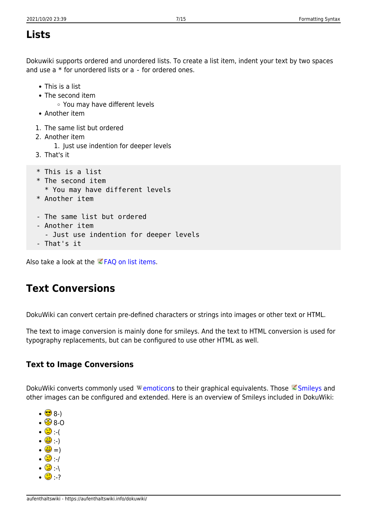## **Lists**

Dokuwiki supports ordered and unordered lists. To create a list item, indent your text by two spaces and use a \* for unordered lists or a - for ordered ones.

- This is a list
- The second item
	- You may have different levels
- Another item
- 1. The same list but ordered
- 2. Another item
	- 1. Just use indention for deeper levels
- 3. That's it
- \* This is a list
- \* The second item
	- \* You may have different levels
- \* Another item
- The same list but ordered
- Another item
	- Just use indention for deeper levels
- That's it

Also take a look at the  $\leq$  [FAQ on list items.](https://www.dokuwiki.org/faq%3Alists)

## **Text Conversions**

DokuWiki can convert certain pre-defined characters or strings into images or other text or HTML.

The text to image conversion is mainly done for smileys. And the text to HTML conversion is used for typography replacements, but can be configured to use other HTML as well.

### **Text to Image Conversions**

DokuWiki converts commonly used Wemoticons to their graphical equivalents. Those [Smileys](https://www.dokuwiki.org/Smileys) and other images can be configured and extended. Here is an overview of Smileys included in DokuWiki:

- $\cdot$   $\bullet$  8-)
- $\cdot$   $\circledcirc$  8-O
- $\cdot$   $\circ$   $\cdot$  (
- :-)
- $\cdot$   $\circledcirc$  =)
- $\cdot$  0  $\cdot$  /
- $\cdot$  0  $\cdot$  $\cdot$  0  $\cdot$  ?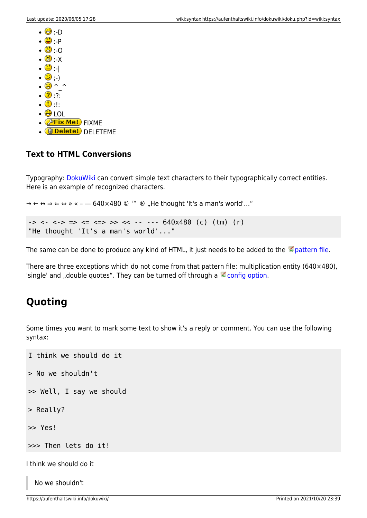- $\cdot$   $\Theta$   $\cdot$  D
- $\cdot\mathbf{\odot}\cdot\mathbf{P}$
- $\cdot$  0
- $\cdot$   $\otimes$   $\cdot$   $\times$
- $\cdot$  0  $\cdot$  1
- $\cdot \circledcirc$  ; )
- $\cdot$   $\circledcirc$  ^ ^
- $\cdot$  2:
- $\cdot \circ$
- $\cdot$  O LOL
- $\bullet$   $\circledast$  Fix Me! FIXME
- <mark>fidelete!</mark> DELETEME

### **Text to HTML Conversions**

Typography: [DokuWiki](https://aufenthaltswiki.info/dokuwiki/doku.php?id=wiki:dokuwiki) can convert simple text characters to their typographically correct entities. Here is an example of recognized characters.

 $\rightarrow \leftarrow \leftrightarrow \Rightarrow \leftarrow \Rightarrow \times \times \leftarrow -640 \times 480 \text{ }^{\circ} \text{ m} \text{ }^{\circ} \text{ m}$ , He thought 'It's a man's world'..."

```
\rightarrow <- <-> => <= <=> >> << -- --- 640x480 (c) (tm) (r)
"He thought 'It's a man's world'..."
```
The same can be done to produce any kind of HTML, it just needs to be added to the  $\leq$  [pattern file](https://www.dokuwiki.org/entities).

There are three exceptions which do not come from that pattern file: multiplication entity (640×480), 'single' and "double quotes". They can be turned off through a  $\leq$  [config option](https://www.dokuwiki.org/config%3Atypography).

## **Quoting**

Some times you want to mark some text to show it's a reply or comment. You can use the following syntax:

```
I think we should do it
> No we shouldn't
>> Well, I say we should
> Really?
>> Yes!
>>> Then lets do it!
I think we should do it
```
No we shouldn't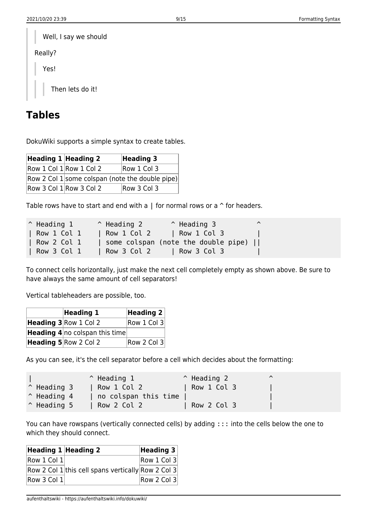| Well, I say we should |
|-----------------------|
| Really?               |
| Yes!                  |
| Then lets do it!      |

## **Tables**

DokuWiki supports a simple syntax to create tables.

| Heading $1$ Heading 2 |                                                 | <b>Heading 3</b> |
|-----------------------|-------------------------------------------------|------------------|
|                       | $Row 1$ Col $1$ Row 1 Col 2                     | Row 1 Col 3      |
|                       | Row 2 Col 1 some colspan (note the double pipe) |                  |
|                       | $Row 3 Col 1$ Row 3 Col 2                       | Row 3 Col 3      |

Table rows have to start and end with a  $\parallel$  for normal rows or a  $\hat{ }$  for headers.

| $^{\wedge}$ Heading 1 | $\hat{ }$ Heading 2 | $^{\circ}$ Heading 3                | ⌒ |
|-----------------------|---------------------|-------------------------------------|---|
| Row 1 Col 1           | Row 1 Col 2         | $\vert$ Row 1 Col 3 $\vert$         |   |
| Row 2 Col 1           |                     | some colspan (note the double pipe) |   |
| Row 3 Col 1           | $\vert$ Row 3 Col 2 | Row 3 Col 3                         |   |

To connect cells horizontally, just make the next cell completely empty as shown above. Be sure to have always the same amount of cell separators!

Vertical tableheaders are possible, too.

| Heading 1                             | Heading $2 $ |
|---------------------------------------|--------------|
| Heading 3 Row 1 Col 2                 | Row 1 Col 3  |
| <b>Heading 4</b> no colspan this time |              |
| Heading 5 Row 2 Col 2                 | Row 2 Col 3  |

As you can see, it's the cell separator before a cell which decides about the formatting:

|                      | $\hat{}$ Heading 1   | $\hat{ }$ Heading 2 | ⌒ |  |
|----------------------|----------------------|---------------------|---|--|
| $^{\circ}$ Heading 3 | Row 1 Col 2          | Row 1 Col 3         |   |  |
| $^{\circ}$ Heading 4 | no colspan this time |                     |   |  |
| $\hat{}$ Heading 5   | Row 2 Col 2          | Row 2 Col 3         |   |  |

You can have rowspans (vertically connected cells) by adding ::: into the cells below the one to which they should connect.

| Heading 1 Heading 2         |                                                    | Heading $3 $ |
|-----------------------------|----------------------------------------------------|--------------|
| $\vert$ Row 1 Col 1 $\vert$ |                                                    | Row 1 Col 3  |
|                             | Row 2 Col 1 this cell spans vertically Row 2 Col 3 |              |
| Row 3 Col 1 $\mid$          |                                                    | Row 2 Col 3  |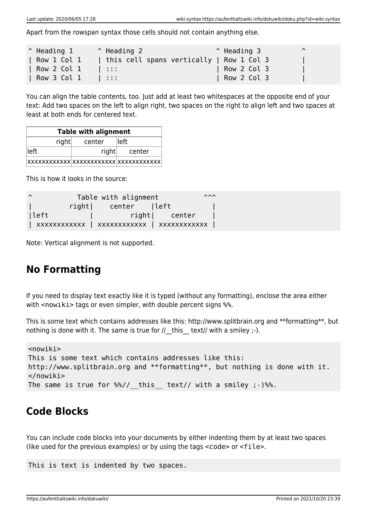Apart from the rowspan syntax those cells should not contain anything else.

| $^{\circ}$ Heading 1       | $\hat{}$ Heading 2                       | $^{\circ}$ Heading 3 | $\lambda$ |
|----------------------------|------------------------------------------|----------------------|-----------|
| Row 1 Col 1 $\overline{ }$ | this cell spans vertically   Row 1 Col 3 |                      |           |
| Row 2 Col 1                | 1.                                       | Row 2 Col 3          |           |
| Row 3 Col 1                | $\mathcal{A}$ and $\mathcal{A}$          | Row 2 Col 3          |           |

You can align the table contents, too. Just add at least two whitespaces at the opposite end of your text: Add two spaces on the left to align right, two spaces on the right to align left and two spaces at least at both ends for centered text.

| <b>Table with alignment</b>                     |       |        |  |  |
|-------------------------------------------------|-------|--------|--|--|
| right<br>lleft<br>center                        |       |        |  |  |
| lleft l                                         | right | center |  |  |
| $ xxxxxxxxxxxx xxxxxxxxxxxxx\rangle$ xxxxxxxxxx |       |        |  |  |

This is how it looks in the source:

| $\lambda$ |        | Table with alignment |               | $\lambda \lambda \lambda$ |
|-----------|--------|----------------------|---------------|---------------------------|
|           | rightl | center  left         |               |                           |
| left      |        |                      | right  center |                           |
|           |        |                      |               |                           |

Note: Vertical alignment is not supported.

## **No Formatting**

If you need to display text exactly like it is typed (without any formatting), enclose the area either with <nowiki> tags or even simpler, with double percent signs %%.

This is some text which contains addresses like this: http://www.splitbrain.org and \*\*formatting\*\*, but nothing is done with it. The same is true for  $//$  this text// with a smiley  $;-$ ).

```
<nowiki>
This is some text which contains addresses like this:
http://www.splitbrain.org and **formatting**, but nothing is done with it.
</nowiki>
The same is true for \frac{1}{2} this text// with a smiley ;-) \frac{1}{2}.
```
## **Code Blocks**

You can include code blocks into your documents by either indenting them by at least two spaces (like used for the previous examples) or by using the tags <code> or <file>.

This is text is indented by two spaces.

https://aufenthaltswiki.info/dokuwiki/ Printed on 2021/10/20 23:39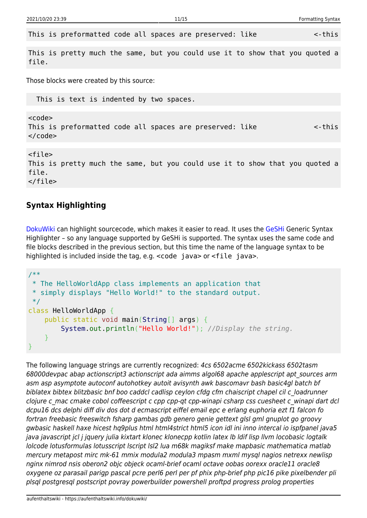This is preformatted code all spaces are preserved: like  $\sim$ -this

This is pretty much the same, but you could use it to show that you quoted a file.

Those blocks were created by this source:

This is text is indented by two spaces.

<code></code> This is preformatted code all spaces are preserved: like  $\leq$ -this  $<$ / $code>$ 

<file> This is pretty much the same, but you could use it to show that you quoted a file. </file>

### **Syntax Highlighting**

[DokuWiki](https://aufenthaltswiki.info/dokuwiki/doku.php?id=wiki:dokuwiki) can highlight sourcecode, which makes it easier to read. It uses the [GeSHi](http://qbnz.com/highlighter/) Generic Syntax Highlighter – so any language supported by GeSHi is supported. The syntax uses the same code and file blocks described in the previous section, but this time the name of the language syntax to be highlighted is included inside the tag, e.g. <code java> or <file java>.

```
/**
 * The HelloWorldApp class implements an application that
 * simply displays "Hello World!" to the standard output.
 */
class HelloWorldApp {
     public static void main(String[] args) {
         System.out.println("Hello World!"); //Display the string.
     }
}
```
The following language strings are currently recognized: 4cs 6502acme 6502kickass 6502tasm 68000devpac abap actionscript3 actionscript ada aimms algol68 apache applescript apt\_sources arm asm asp asymptote autoconf autohotkey autoit avisynth awk bascomavr bash basic4gl batch bf biblatex bibtex blitzbasic bnf boo caddcl cadlisp ceylon cfdg cfm chaiscript chapel cil c\_loadrunner clojure c\_mac cmake cobol coffeescript c cpp cpp-qt cpp-winapi csharp css cuesheet c\_winapi dart dcl dcpu16 dcs delphi diff div dos dot d ecmascript eiffel email epc e erlang euphoria ezt f1 falcon fo fortran freebasic freeswitch fsharp gambas gdb genero genie gettext glsl gml gnuplot go groovy gwbasic haskell haxe hicest hq9plus html html4strict html5 icon idl ini inno intercal io ispfpanel java5 java javascript jcl j jquery julia kixtart klonec klonecpp kotlin latex lb ldif lisp llvm locobasic logtalk lolcode lotusformulas lotusscript lscript lsl2 lua m68k magiksf make mapbasic mathematica matlab mercury metapost mirc mk-61 mmix modula2 modula3 mpasm mxml mysql nagios netrexx newlisp nginx nimrod nsis oberon2 objc objeck ocaml-brief ocaml octave oobas oorexx oracle11 oracle8 oxygene oz parasail parigp pascal pcre perl6 perl per pf phix php-brief php pic16 pike pixelbender pli plsql postgresql postscript povray powerbuilder powershell proftpd progress prolog properties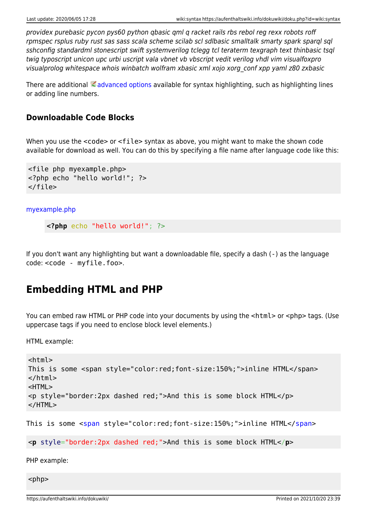providex purebasic pycon pys60 python qbasic qml q racket rails rbs rebol reg rexx robots roff rpmspec rsplus ruby rust sas sass scala scheme scilab scl sdlbasic smalltalk smarty spark sparql sql sshconfig standardml stonescript swift systemverilog tclegg tcl teraterm texgraph text thinbasic tsql twig typoscript unicon upc urbi uscript vala vbnet vb vbscript vedit verilog vhdl vim visualfoxpro visualprolog whitespace whois winbatch wolfram xbasic xml xojo xorg\_conf xpp yaml z80 zxbasic

There are additional  $\triangle$  [advanced options](https://www.dokuwiki.org/syntax_highlighting) available for syntax highlighting, such as highlighting lines or adding line numbers.

### **Downloadable Code Blocks**

When you use the <code> or <file> syntax as above, you might want to make the shown code available for download as well. You can do this by specifying a file name after language code like this:

```
<file php myexample.php>
<?php echo "hello world!"; ?>
</file>
```
[myexample.php](https://aufenthaltswiki.info/dokuwiki/doku.php?do=export_code&id=wiki:syntax&codeblock=8)

```
<?php echo "hello world!"; ?>
```
If you don't want any highlighting but want a downloadable file, specify a dash (-) as the language code: <code - myfile.foo>.

## **Embedding HTML and PHP**

You can embed raw HTML or PHP code into your documents by using the <html> or <php> tags. (Use uppercase tags if you need to enclose block level elements.)

HTML example:

```
<html>
This is some <span style="color:red;font-size:150%;">inline HTML</span>
</html>
<HTML>
<p style="border:2px dashed red;">And this is some block HTML</p>
</HTML>
```
This is some [<span](http://december.com/html/4/element/span.html) style="color:red;font-size:150%;">inline HTML</[span](http://december.com/html/4/element/span.html)>

<**[p](http://december.com/html/4/element/p.html)** style="border:2px dashed red;">And this is some block HTML</**[p](http://december.com/html/4/element/p.html)**>

PHP example:

 $<$ php $>$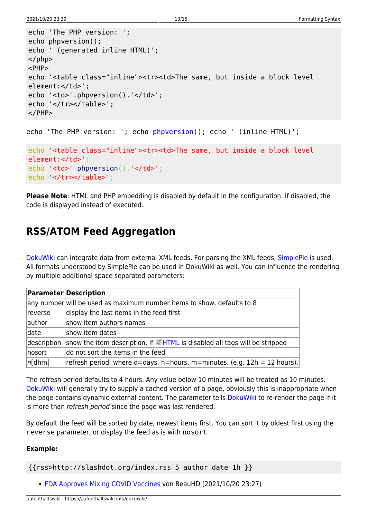```
echo 'The PHP version: ';
echo phpversion();
echo ' (generated inline HTML)';
</php><PHP>
echo '<table class="inline"><tr><td>The same, but inside a block level
element:</td>';
echo '<td>'.phpversion().'</td>';
echo '</tr></table>';
</PHP>
```

```
echo 'The PHP version: '; echo phpversion(); echo ' (inline HTML)';
```

```
echo '<table class="inline"><tr><td>The same, but inside a block level
element:</td>';
.phpversion().'</td>';
echo '</tr></table>';
```
**Please Note**: HTML and PHP embedding is disabled by default in the configuration. If disabled, the code is displayed instead of executed.

## **RSS/ATOM Feed Aggregation**

[DokuWiki](https://aufenthaltswiki.info/dokuwiki/doku.php?id=wiki:dokuwiki) can integrate data from external XML feeds. For parsing the XML feeds, [SimplePie](http://simplepie.org/) is used. All formats understood by SimplePie can be used in DokuWiki as well. You can influence the rendering by multiple additional space separated parameters:

|             | <b>Parameter Description</b>                                                            |
|-------------|-----------------------------------------------------------------------------------------|
|             | any number will be used as maximum number items to show, defaults to 8                  |
| reverse     | display the last items in the feed first                                                |
| author      | show item authors names                                                                 |
| date        | show item dates                                                                         |
| description | show the item description. If $\blacksquare$ HTML is disabled all tags will be stripped |
| nosort      | do not sort the items in the feed                                                       |
| $ n[$ dhm]  | refresh period, where $d =$ days, h=hours, m=minutes. (e.g. $12h = 12$ hours).          |

The refresh period defaults to 4 hours. Any value below 10 minutes will be treated as 10 minutes. [DokuWiki](https://aufenthaltswiki.info/dokuwiki/doku.php?id=wiki:dokuwiki) will generally try to supply a cached version of a page, obviously this is inappropriate when the page contains dynamic external content. The parameter tells [DokuWiki](https://aufenthaltswiki.info/dokuwiki/doku.php?id=wiki:dokuwiki) to re-render the page if it is more than refresh period since the page was last rendered.

By default the feed will be sorted by date, newest items first. You can sort it by oldest first using the reverse parameter, or display the feed as is with nosort.

### **Example:**

{{rss>http://slashdot.org/index.rss 5 author date 1h }}

[FDA Approves Mixing COVID Vaccines](http://rss.slashdot.org/~r/Slashdot/slashdot/~3/GvTtdoKxc64/fda-approves-mixing-covid-vaccines) von BeauHD (2021/10/20 23:27)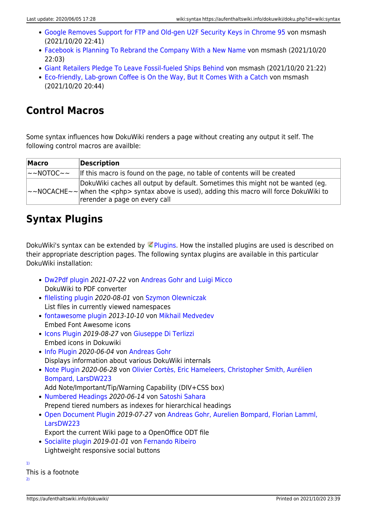- [Google Removes Support for FTP and Old-gen U2F Security Keys in Chrome 95](http://rss.slashdot.org/~r/Slashdot/slashdot/~3/dHYfYeXSjP4/google-removes-support-for-ftp-and-old-gen-u2f-security-keys-in-chrome-95) von msmash (2021/10/20 22:41)
- [Facebook is Planning To Rebrand the Company With a New Name](http://rss.slashdot.org/~r/Slashdot/slashdot/~3/xIbhHsC_9-8/facebook-is-planning-to-rebrand-the-company-with-a-new-name) von msmash (2021/10/20 22:03)
- [Giant Retailers Pledge To Leave Fossil-fueled Ships Behind](http://rss.slashdot.org/~r/Slashdot/slashdot/~3/jKkorY2xXrs/giant-retailers-pledge-to-leave-fossil-fueled-ships-behind) von msmash (2021/10/20 21:22)
- [Eco-friendly, Lab-grown Coffee is On the Way, But It Comes With a Catch](http://rss.slashdot.org/~r/Slashdot/slashdot/~3/0Dawduvay-0/eco-friendly-lab-grown-coffee-is-on-the-way-but-it-comes-with-a-catch) von msmash (2021/10/20 20:44)

## **Control Macros**

Some syntax influences how DokuWiki renders a page without creating any output it self. The following control macros are availble:

| <b>Macro</b>               | Description                                                                                                                                                                                                                    |
|----------------------------|--------------------------------------------------------------------------------------------------------------------------------------------------------------------------------------------------------------------------------|
| $\sim$ NOTOC $\sim$ $\sim$ | If this macro is found on the page, no table of contents will be created                                                                                                                                                       |
|                            | DokuWiki caches all output by default. Sometimes this might not be wanted (eg.<br>$\sim$ NOCACHE $\sim$ when the <php> syntax above is used), adding this macro will force DokuWiki to<br/>rerender a page on every call</php> |

## **Syntax Plugins**

DokuWiki's syntax can be extended by  $\leq$  [Plugins.](https://www.dokuwiki.org/plugins) How the installed plugins are used is described on their appropriate description pages. The following syntax plugins are available in this particular DokuWiki installation:

- [Dw2Pdf plugin](https://www.dokuwiki.org/plugin:dw2pdf) 2021-07-22 von [Andreas Gohr and Luigi Micco](mailto:l.micco@tiscali.it) DokuWiki to PDF converter
- [filelisting plugin](http://www.dokuwiki.org/plugin:filelisting) 2020-08-01 von [Szymon Olewniczak](mailto:dokuwiki@cosmocode.de) List files in currently viewed namespaces
- [fontawesome plugin](http://github.com/mmedvede/dokuwiki-plugin-fontawesome) 2013-10-10 von [Mikhail Medvedev](mailto:mmedvede@cs.uml.edu) Embed Font Awesome icons
- [Icons Plugin](http://www.dokuwiki.org/plugin:icons) 2019-08-27 von [Giuseppe Di Terlizzi](mailto:giuseppe.diterlizzi@gmail.com) Embed icons in Dokuwiki
- [Info Plugin](http://dokuwiki.org/plugin:info) 2020-06-04 von [Andreas Gohr](mailto:andi@splitbrain.org) Displays information about various DokuWiki internals
- [Note Plugin](https://www.dokuwiki.org/plugin:note) 2020-06-28 von [Olivier Cortès, Eric Hameleers, Christopher Smith, Aurélien](mailto:olive@deep-ocean.net) [Bompard, LarsDW223](mailto:olive@deep-ocean.net)
- Add Note/Important/Tip/Warning Capability (DIV+CSS box)
- [Numbered Headings](https://www.dokuwiki.org/plugin:NumberedHeadings) 2020-06-14 von [Satoshi Sahara](mailto:sahara.satoshi@gmail.com) Prepend tiered numbers as indexes for hierarchical headings
- [Open Document Plugin](http://www.dokuwiki.org/plugin:odt) 2019-07-27 von [Andreas Gohr, Aurelien Bompard, Florian Lamml,](mailto:andi@splitbrain.org, aurelien@bompard.org, infor@florian-lamml.de) [LarsDW223](mailto:andi@splitbrain.org, aurelien@bompard.org, infor@florian-lamml.de)
	- Export the current Wiki page to a OpenOffice ODT file
- [Socialite plugin](https://www.dokuwiki.org/plugin:socialite) 2019-01-01 von [Fernando Ribeiro](mailto:fribeiro@fribeiro.org) Lightweight responsive social buttons

[1\)](#page--1-0) This is a footnote  $2)$